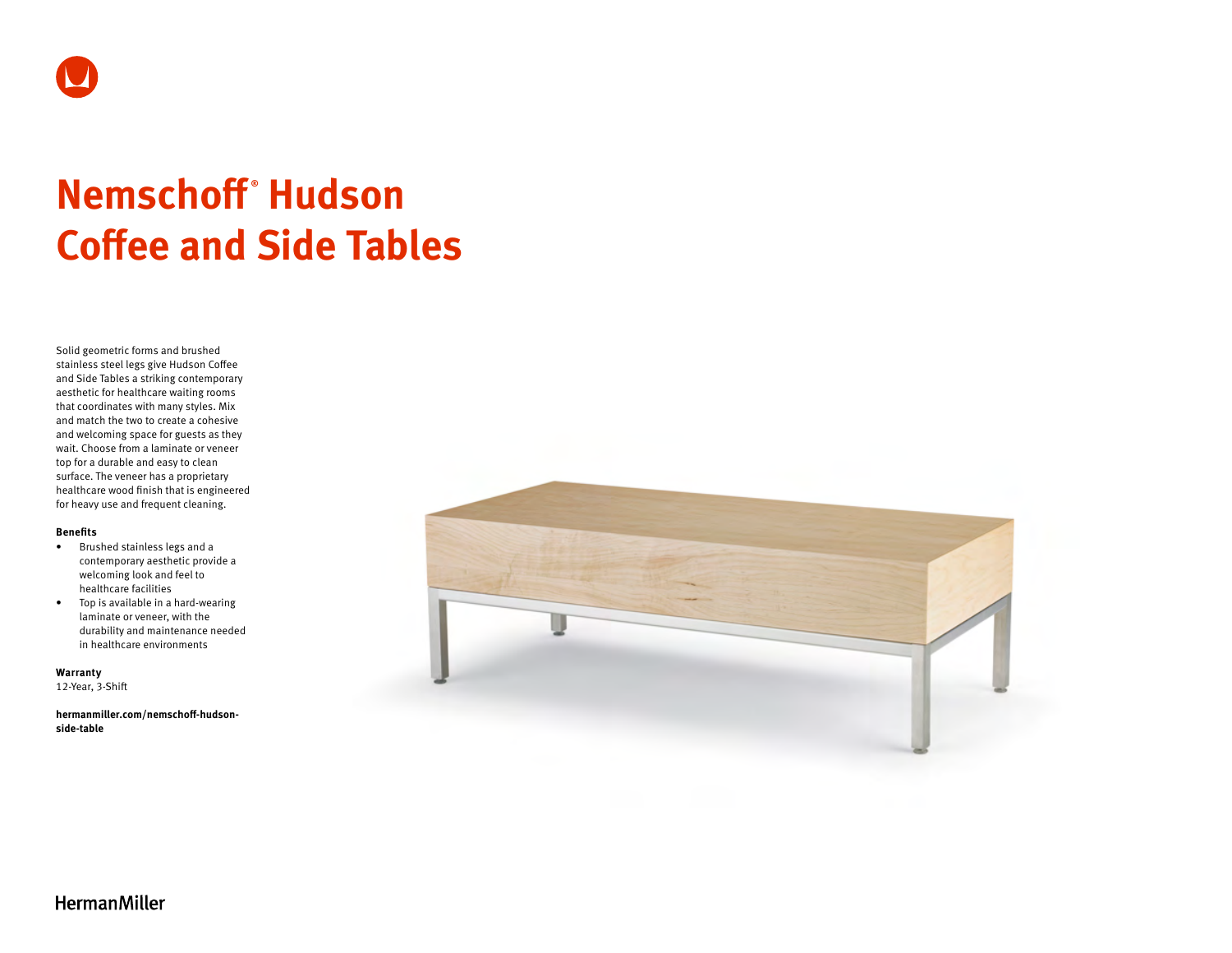

# **Nemschoff ® Hudson Coffee and Side Tables**

Solid geometric forms and brushed stainless steel legs give Hudson Coffee and Side Tables a striking contemporary aesthetic for healthcare waiting rooms that coordinates with many styles. Mix and match the two to create a cohesive and welcoming space for guests as they wait. Choose from a laminate or veneer top for a durable and easy to clean surface. The veneer has a proprietary healthcare wood finish that is engineered for heavy use and frequent cleaning.

#### **Benefits**

- Brushed stainless legs and a contemporary aesthetic provide a welcoming look and feel to healthcare facilities
- Top is available in a hard-wearing laminate or veneer, with the durability and maintenance needed in healthcare environments

**Warranty**  12-Year, 3-Shift

**[hermanmiller.com/nemschoff-hudson](http://hermanmiller.com/nemschoff-hudson-side-table)[side-table](http://hermanmiller.com/nemschoff-hudson-side-table)**